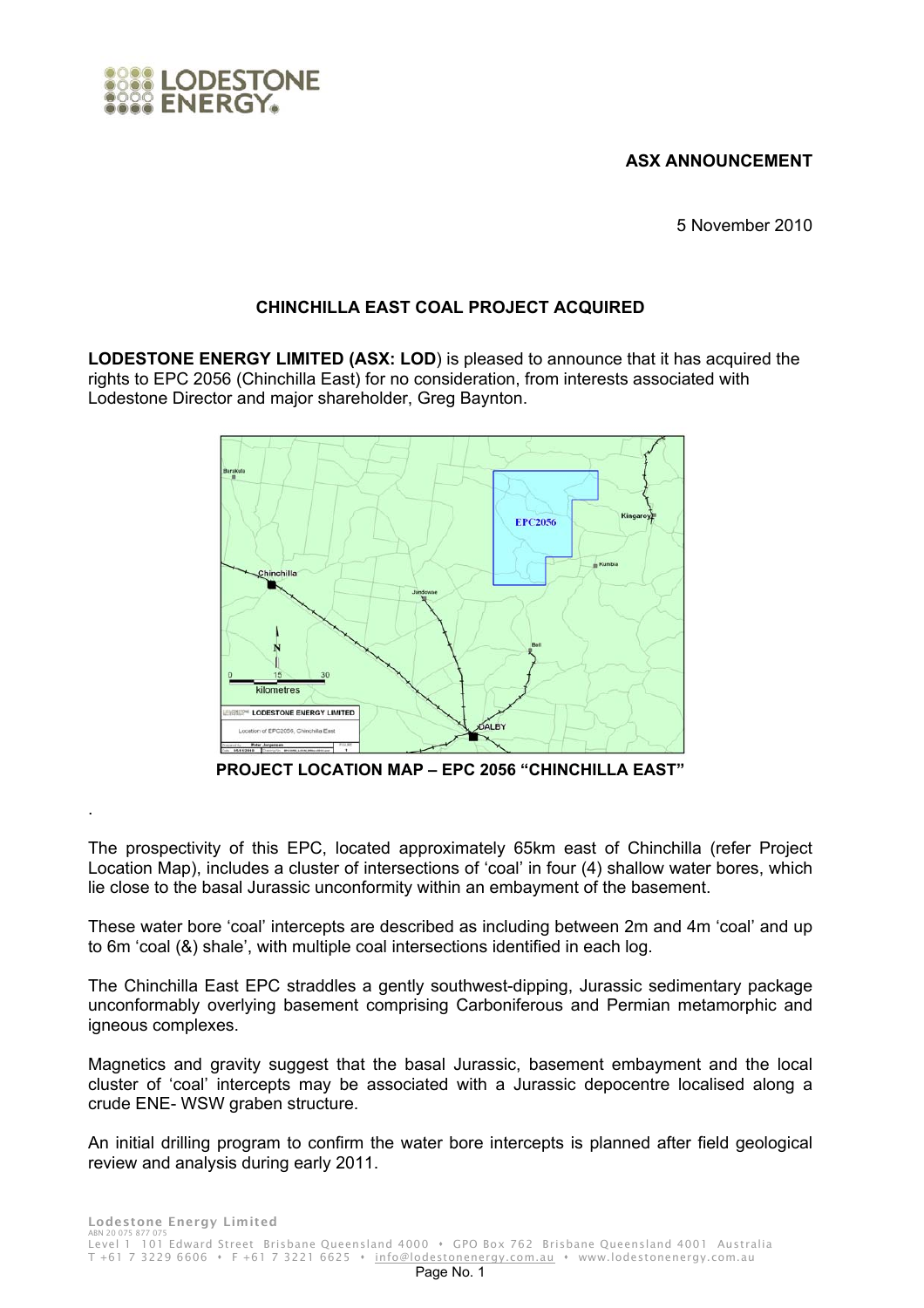## **ASX ANNOUNCEMENT**

LODESTONE

.

5 November 2010

## **CHINCHILLA EAST COAL PROJECT ACQUIRED**

**LODESTONE ENERGY LIMITED (ASX: LOD**) is pleased to announce that it has acquired the rights to EPC 2056 (Chinchilla East) for no consideration, from interests associated with Lodestone Director and major shareholder, Greg Baynton.



**PROJECT LOCATION MAP – EPC 2056 "CHINCHILLA EAST"** 

The prospectivity of this EPC, located approximately 65km east of Chinchilla (refer Project Location Map), includes a cluster of intersections of 'coal' in four (4) shallow water bores, which lie close to the basal Jurassic unconformity within an embayment of the basement.

These water bore 'coal' intercepts are described as including between 2m and 4m 'coal' and up to 6m 'coal (&) shale', with multiple coal intersections identified in each log.

The Chinchilla East EPC straddles a gently southwest-dipping, Jurassic sedimentary package unconformably overlying basement comprising Carboniferous and Permian metamorphic and igneous complexes.

Magnetics and gravity suggest that the basal Jurassic, basement embayment and the local cluster of 'coal' intercepts may be associated with a Jurassic depocentre localised along a crude ENE- WSW graben structure.

An initial drilling program to confirm the water bore intercepts is planned after field geological review and analysis during early 2011.